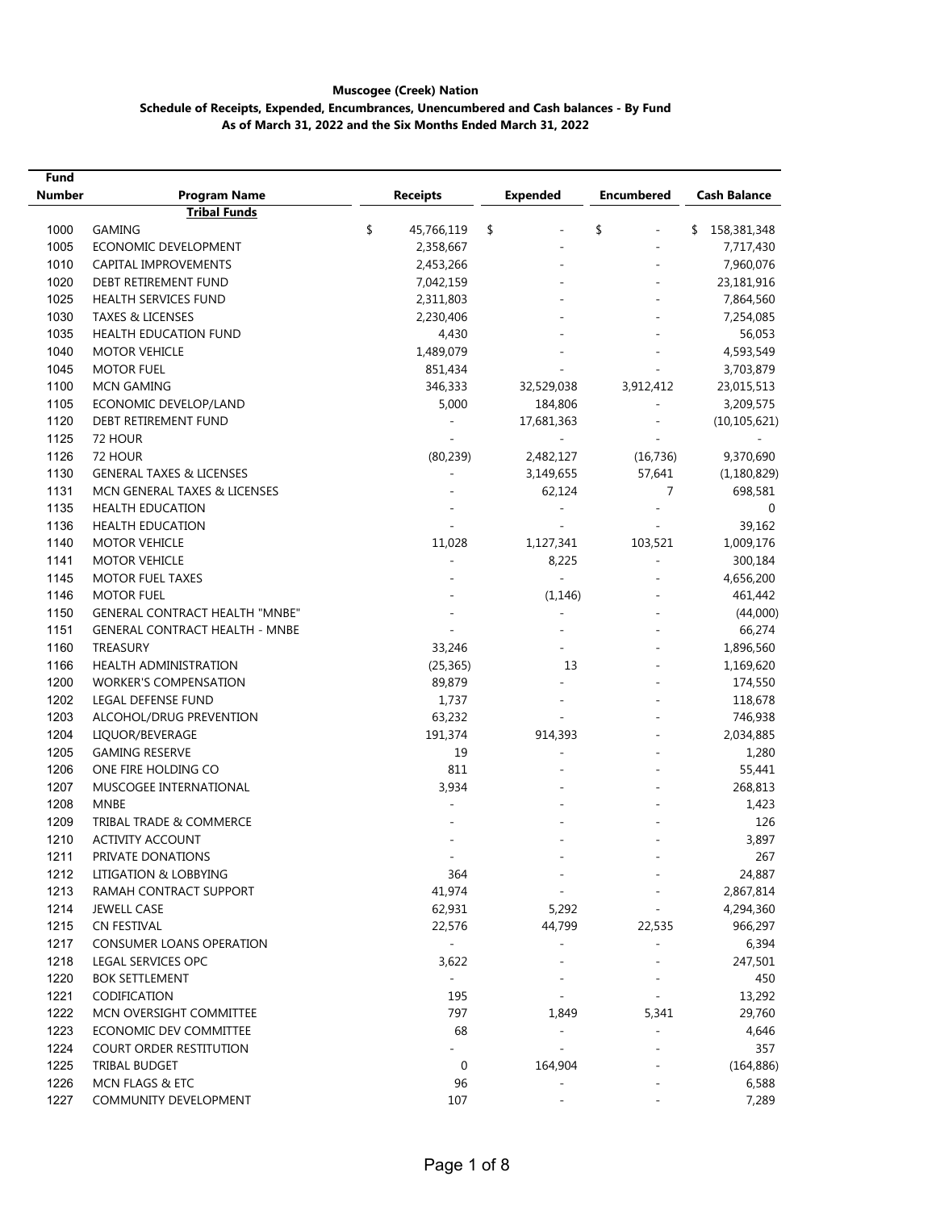## **Muscogee (Creek) Nation Schedule of Receipts, Expended, Encumbrances, Unencumbered and Cash balances - By Fund As of March 31, 2022 and the Six Months Ended March 31, 2022**

| Fund   |                                       |                          |                          |                   |                     |
|--------|---------------------------------------|--------------------------|--------------------------|-------------------|---------------------|
| Number | <b>Program Name</b>                   | <b>Receipts</b>          | <b>Expended</b>          | <b>Encumbered</b> | <b>Cash Balance</b> |
|        | <b>Tribal Funds</b>                   |                          |                          |                   |                     |
| 1000   | <b>GAMING</b>                         | \$<br>45,766,119         | \$                       | \$                | \$<br>158,381,348   |
| 1005   | ECONOMIC DEVELOPMENT                  | 2,358,667                |                          |                   | 7,717,430           |
| 1010   | CAPITAL IMPROVEMENTS                  | 2,453,266                |                          |                   | 7,960,076           |
| 1020   | <b>DEBT RETIREMENT FUND</b>           | 7,042,159                |                          |                   | 23,181,916          |
| 1025   | HEALTH SERVICES FUND                  | 2,311,803                |                          |                   | 7,864,560           |
| 1030   | <b>TAXES &amp; LICENSES</b>           | 2,230,406                |                          |                   | 7,254,085           |
| 1035   | <b>HEALTH EDUCATION FUND</b>          | 4,430                    |                          |                   | 56,053              |
| 1040   | <b>MOTOR VEHICLE</b>                  | 1,489,079                |                          |                   | 4,593,549           |
| 1045   | <b>MOTOR FUEL</b>                     | 851,434                  |                          |                   | 3,703,879           |
| 1100   | <b>MCN GAMING</b>                     | 346,333                  | 32,529,038               | 3,912,412         | 23,015,513          |
| 1105   | ECONOMIC DEVELOP/LAND                 | 5,000                    | 184,806                  |                   | 3,209,575           |
| 1120   | DEBT RETIREMENT FUND                  | $\overline{\phantom{a}}$ | 17,681,363               |                   | (10, 105, 621)      |
| 1125   | 72 HOUR                               |                          | $\overline{\phantom{a}}$ |                   |                     |
| 1126   | 72 HOUR                               | (80, 239)                | 2,482,127                | (16, 736)         | 9,370,690           |
| 1130   | <b>GENERAL TAXES &amp; LICENSES</b>   | $\overline{\phantom{a}}$ | 3,149,655                | 57,641            | (1, 180, 829)       |
| 1131   | MCN GENERAL TAXES & LICENSES          |                          | 62.124                   | $\overline{7}$    | 698,581             |
| 1135   | <b>HEALTH EDUCATION</b>               |                          | ÷,                       | ÷,                | $\mathbf 0$         |
| 1136   | <b>HEALTH EDUCATION</b>               |                          |                          |                   | 39,162              |
| 1140   | <b>MOTOR VEHICLE</b>                  | 11,028                   | 1,127,341                | 103,521           | 1,009,176           |
| 1141   | <b>MOTOR VEHICLE</b>                  |                          | 8,225                    |                   | 300,184             |
| 1145   | <b>MOTOR FUEL TAXES</b>               |                          | $\overline{\phantom{a}}$ |                   | 4,656,200           |
| 1146   | <b>MOTOR FUEL</b>                     |                          | (1, 146)                 |                   | 461,442             |
| 1150   | GENERAL CONTRACT HEALTH "MNBE"        |                          | $\bar{a}$                |                   | (44,000)            |
| 1151   | <b>GENERAL CONTRACT HEALTH - MNBE</b> |                          |                          |                   | 66,274              |
| 1160   | TREASURY                              | 33,246                   | $\overline{\phantom{a}}$ |                   | 1,896,560           |
| 1166   | <b>HEALTH ADMINISTRATION</b>          | (25, 365)                | 13                       |                   | 1,169,620           |
| 1200   | <b>WORKER'S COMPENSATION</b>          | 89,879                   | ÷.                       |                   | 174,550             |
| 1202   | LEGAL DEFENSE FUND                    | 1,737                    |                          |                   | 118,678             |
| 1203   | ALCOHOL/DRUG PREVENTION               | 63,232                   |                          |                   | 746,938             |
| 1204   | LIQUOR/BEVERAGE                       | 191,374                  | 914,393                  |                   | 2,034,885           |
| 1205   | <b>GAMING RESERVE</b>                 | 19                       | ÷.                       |                   | 1,280               |
| 1206   | ONE FIRE HOLDING CO                   | 811                      |                          |                   | 55,441              |
| 1207   | MUSCOGEE INTERNATIONAL                | 3,934                    |                          |                   | 268,813             |
| 1208   | <b>MNBE</b>                           |                          |                          |                   | 1,423               |
| 1209   | TRIBAL TRADE & COMMERCE               |                          |                          |                   | 126                 |
| 1210   | ACTIVITY ACCOUNT                      |                          |                          |                   | 3,897               |
| 1211   | PRIVATE DONATIONS                     |                          |                          |                   | 267                 |
| 1212   | LITIGATION & LOBBYING                 | 364                      |                          |                   | 24,887              |
| 1213   | RAMAH CONTRACT SUPPORT                | 41,974                   |                          |                   | 2,867,814           |
| 1214   | JEWELL CASE                           | 62,931                   | 5,292                    |                   | 4,294,360           |
| 1215   | <b>CN FESTIVAL</b>                    | 22,576                   | 44,799                   | 22,535            | 966,297             |
| 1217   | <b>CONSUMER LOANS OPERATION</b>       | $\sim$                   | ÷,                       | ÷,                | 6,394               |
| 1218   | <b>LEGAL SERVICES OPC</b>             | 3,622                    |                          |                   | 247,501             |
| 1220   | <b>BOK SETTLEMENT</b>                 | $\omega$ .               |                          |                   | 450                 |
| 1221   | CODIFICATION                          | 195                      |                          |                   | 13,292              |
| 1222   | MCN OVERSIGHT COMMITTEE               | 797                      | 1,849                    | 5,341             | 29,760              |
| 1223   | ECONOMIC DEV COMMITTEE                | 68                       | $\overline{\phantom{a}}$ |                   | 4,646               |
| 1224   | COURT ORDER RESTITUTION               | $\overline{\phantom{0}}$ |                          |                   | 357                 |
| 1225   | TRIBAL BUDGET                         | 0                        | 164,904                  |                   | (164, 886)          |
| 1226   | MCN FLAGS & ETC                       | 96                       |                          |                   | 6,588               |
| 1227   | COMMUNITY DEVELOPMENT                 | 107                      |                          |                   | 7,289               |
|        |                                       |                          |                          |                   |                     |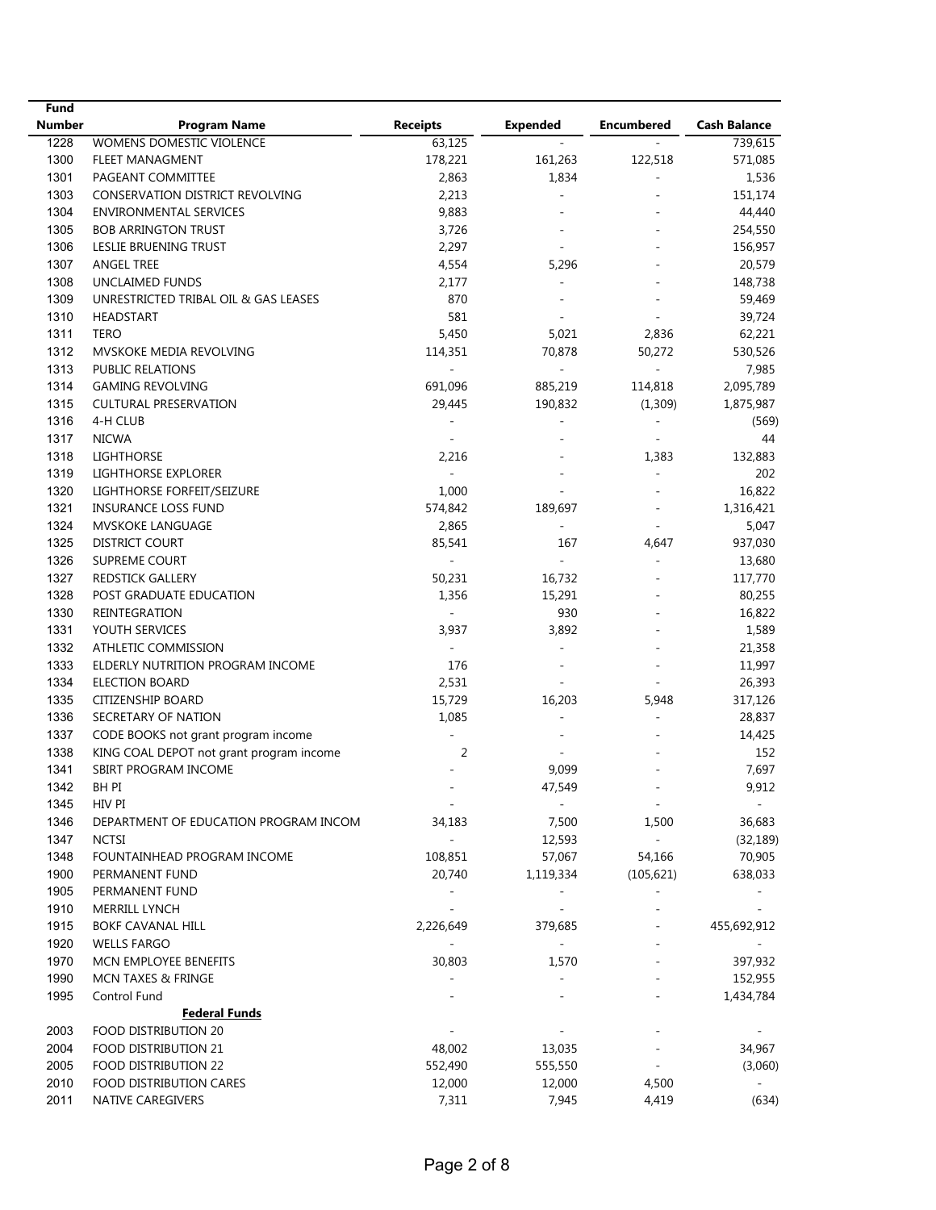| Fund          |                                          |                          |                          |                          |                     |
|---------------|------------------------------------------|--------------------------|--------------------------|--------------------------|---------------------|
| <b>Number</b> | <b>Program Name</b>                      | <b>Receipts</b>          | <b>Expended</b>          | <b>Encumbered</b>        | <b>Cash Balance</b> |
| 1228          | WOMENS DOMESTIC VIOLENCE                 | 63,125                   |                          |                          | 739,615             |
| 1300          | FLEET MANAGMENT                          | 178,221                  | 161,263                  | 122,518                  | 571,085             |
| 1301          | PAGEANT COMMITTEE                        | 2,863                    | 1,834                    |                          | 1,536               |
| 1303          | CONSERVATION DISTRICT REVOLVING          | 2,213                    | ÷.                       |                          | 151,174             |
| 1304          | ENVIRONMENTAL SERVICES                   | 9,883                    |                          |                          | 44,440              |
| 1305          | <b>BOB ARRINGTON TRUST</b>               | 3,726                    |                          |                          | 254,550             |
| 1306          | LESLIE BRUENING TRUST                    | 2,297                    | $\overline{\phantom{a}}$ |                          | 156,957             |
| 1307          | ANGEL TREE                               | 4,554                    | 5,296                    |                          | 20,579              |
| 1308          | UNCLAIMED FUNDS                          | 2,177                    |                          |                          | 148,738             |
| 1309          | UNRESTRICTED TRIBAL OIL & GAS LEASES     | 870                      |                          |                          | 59,469              |
| 1310          | <b>HEADSTART</b>                         | 581                      |                          |                          | 39,724              |
| 1311          | <b>TERO</b>                              | 5,450                    | 5,021                    | 2,836                    | 62,221              |
| 1312          | MVSKOKE MEDIA REVOLVING                  | 114,351                  | 70,878                   | 50,272                   | 530,526             |
| 1313          | PUBLIC RELATIONS                         | $\overline{\phantom{a}}$ | $\Box$                   | $\overline{\phantom{a}}$ | 7,985               |
| 1314          | <b>GAMING REVOLVING</b>                  | 691,096                  | 885,219                  | 114,818                  | 2,095,789           |
| 1315          | <b>CULTURAL PRESERVATION</b>             | 29,445                   | 190,832                  | (1,309)                  |                     |
| 1316          |                                          |                          |                          |                          | 1,875,987           |
|               | 4-H CLUB                                 | $\overline{\phantom{m}}$ | $\blacksquare$           | $\overline{\phantom{a}}$ | (569)               |
| 1317          | <b>NICWA</b>                             |                          | ٠                        | $\sim$                   | 44                  |
| 1318          | <b>LIGHTHORSE</b>                        | 2,216                    |                          | 1,383                    | 132,883             |
| 1319          | LIGHTHORSE EXPLORER                      |                          |                          | ÷.                       | 202                 |
| 1320          | LIGHTHORSE FORFEIT/SEIZURE               | 1,000                    |                          |                          | 16,822              |
| 1321          | <b>INSURANCE LOSS FUND</b>               | 574,842                  | 189,697                  |                          | 1,316,421           |
| 1324          | <b>MVSKOKE LANGUAGE</b>                  | 2,865                    | ×.                       | ÷.                       | 5,047               |
| 1325          | DISTRICT COURT                           | 85,541                   | 167                      | 4,647                    | 937,030             |
| 1326          | <b>SUPREME COURT</b>                     |                          | $\sim$                   |                          | 13,680              |
| 1327          | <b>REDSTICK GALLERY</b>                  | 50,231                   | 16,732                   |                          | 117,770             |
| 1328          | POST GRADUATE EDUCATION                  | 1,356                    | 15,291                   |                          | 80,255              |
| 1330          | REINTEGRATION                            |                          | 930                      |                          | 16,822              |
| 1331          | YOUTH SERVICES                           | 3,937                    | 3,892                    |                          | 1,589               |
| 1332          | ATHLETIC COMMISSION                      |                          |                          |                          | 21,358              |
| 1333          | ELDERLY NUTRITION PROGRAM INCOME         | 176                      |                          |                          | 11,997              |
| 1334          | <b>ELECTION BOARD</b>                    | 2,531                    |                          |                          | 26,393              |
| 1335          | <b>CITIZENSHIP BOARD</b>                 | 15,729                   | 16,203                   | 5,948                    | 317,126             |
| 1336          | SECRETARY OF NATION                      | 1,085                    | ä,                       |                          | 28,837              |
| 1337          | CODE BOOKS not grant program income      |                          |                          |                          | 14,425              |
| 1338          | KING COAL DEPOT not grant program income | $\overline{2}$           |                          |                          | 152                 |
| 1341          | SBIRT PROGRAM INCOME                     |                          | 9,099                    |                          | 7,697               |
| 1342          | BH PI                                    |                          | 47,549                   |                          | 9,912               |
| 1345          | hiv pi                                   | $\sim$                   |                          | $\sim$                   |                     |
| 1346          | DEPARTMENT OF EDUCATION PROGRAM INCOM    | 34,183                   | 7,500                    | 1,500                    | 36,683              |
| 1347          | <b>NCTSI</b>                             | $\sim$                   | 12,593                   | $\sim 10^{-1}$           | (32, 189)           |
| 1348          | FOUNTAINHEAD PROGRAM INCOME              | 108,851                  | 57,067                   | 54,166                   | 70,905              |
| 1900          | PERMANENT FUND                           | 20,740                   | 1,119,334                | (105, 621)               | 638,033             |
| 1905          | PERMANENT FUND                           | $\overline{\phantom{a}}$ | $\overline{\phantom{a}}$ | $\overline{\phantom{a}}$ |                     |
| 1910          | MERRILL LYNCH                            |                          |                          |                          |                     |
| 1915          | <b>BOKF CAVANAL HILL</b>                 | 2,226,649                | 379,685                  |                          | 455,692,912         |
| 1920          | <b>WELLS FARGO</b>                       | $\overline{\phantom{a}}$ | $\overline{\phantom{a}}$ |                          | $\sim$              |
| 1970          | MCN EMPLOYEE BENEFITS                    | 30,803                   | 1,570                    |                          | 397,932             |
| 1990          | MCN TAXES & FRINGE                       |                          | $\overline{\phantom{a}}$ |                          | 152,955             |
| 1995          |                                          |                          |                          |                          |                     |
|               | Control Fund                             |                          |                          |                          | 1,434,784           |
|               | <b>Federal Funds</b>                     |                          |                          |                          |                     |
| 2003          | FOOD DISTRIBUTION 20                     |                          |                          |                          | $\sim$              |
| 2004          | FOOD DISTRIBUTION 21                     | 48,002                   | 13,035                   |                          | 34,967              |
| 2005          | FOOD DISTRIBUTION 22                     | 552,490                  | 555,550                  |                          | (3,060)             |
| 2010          | FOOD DISTRIBUTION CARES                  | 12,000                   | 12,000                   | 4,500                    |                     |
| 2011          | NATIVE CAREGIVERS                        | 7,311                    | 7,945                    | 4,419                    | (634)               |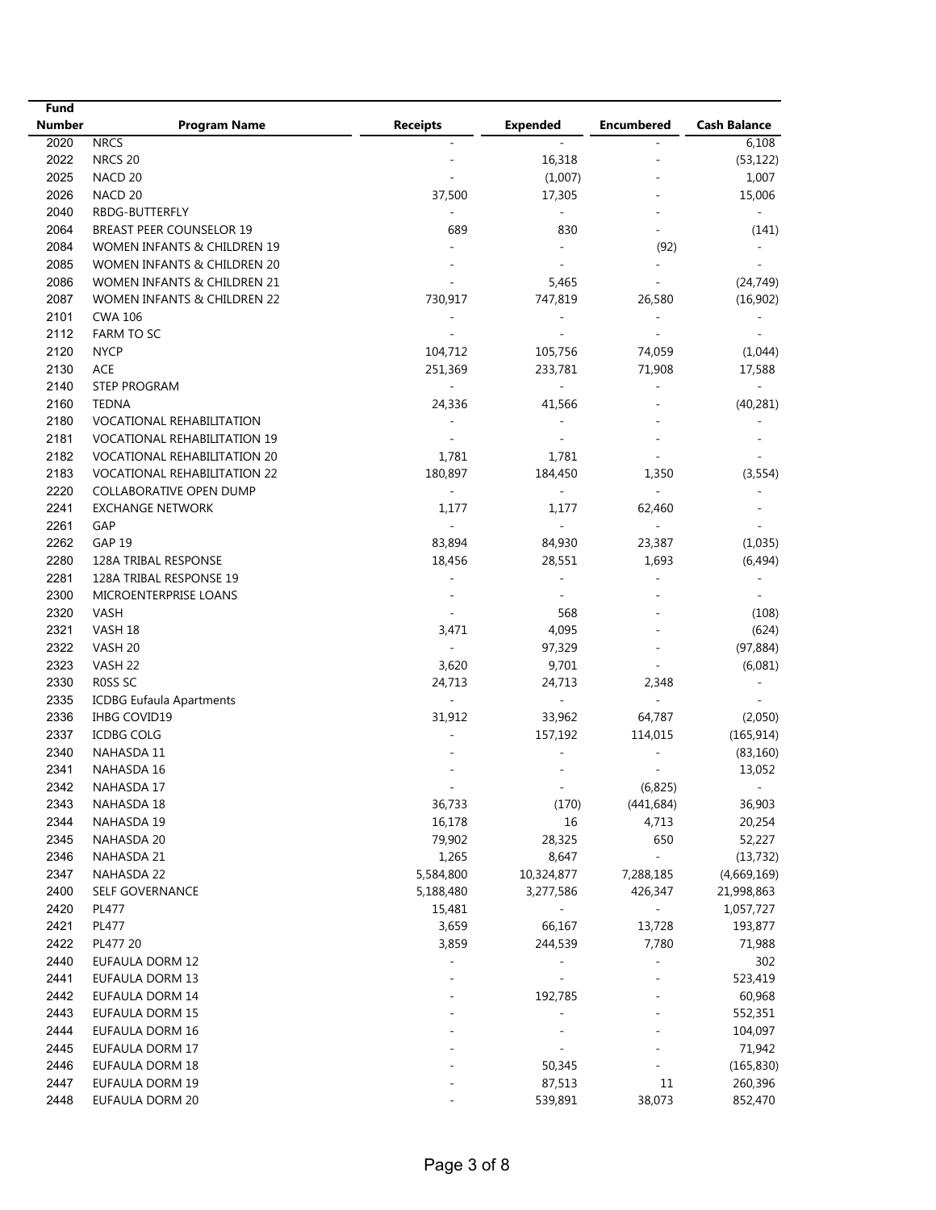| Fund   |                                        |                             |                          |                          |                          |
|--------|----------------------------------------|-----------------------------|--------------------------|--------------------------|--------------------------|
| Number | <b>Program Name</b>                    | <b>Receipts</b>             | <b>Expended</b>          | <b>Encumbered</b>        | <b>Cash Balance</b>      |
| 2020   | <b>NRCS</b>                            |                             |                          |                          | 6,108                    |
| 2022   | <b>NRCS 20</b>                         |                             | 16,318                   |                          | (53, 122)                |
| 2025   | NACD <sub>20</sub>                     |                             | (1,007)                  |                          | 1,007                    |
| 2026   | NACD <sub>20</sub>                     | 37,500                      | 17,305                   |                          | 15,006                   |
| 2040   | RBDG-BUTTERFLY                         |                             | $\overline{\phantom{a}}$ |                          |                          |
| 2064   | BREAST PEER COUNSELOR 19               | 689                         | 830                      |                          | (141)                    |
| 2084   | WOMEN INFANTS & CHILDREN 19            |                             | $\blacksquare$           | (92)                     |                          |
| 2085   | <b>WOMEN INFANTS &amp; CHILDREN 20</b> |                             | $\overline{\phantom{a}}$ |                          |                          |
| 2086   | WOMEN INFANTS & CHILDREN 21            |                             | 5,465                    |                          | (24, 749)                |
| 2087   | <b>WOMEN INFANTS &amp; CHILDREN 22</b> | 730,917                     | 747,819                  | 26,580                   | (16,902)                 |
| 2101   | <b>CWA 106</b>                         |                             |                          |                          |                          |
| 2112   | <b>FARM TO SC</b>                      |                             | $\overline{\phantom{a}}$ | ÷.                       | $\sim$                   |
| 2120   | <b>NYCP</b>                            | 104,712                     | 105,756                  | 74,059                   | (1,044)                  |
| 2130   | <b>ACE</b>                             | 251,369                     | 233,781                  |                          |                          |
|        |                                        |                             |                          | 71,908                   | 17,588                   |
| 2140   | STEP PROGRAM                           | $\sim$                      | $\blacksquare$           | $\overline{\phantom{a}}$ | $\sim$                   |
| 2160   | TEDNA                                  | 24,336                      | 41,566                   |                          | (40, 281)                |
| 2180   | <b>VOCATIONAL REHABILITATION</b>       | $\overline{\phantom{a}}$    | $\blacksquare$           |                          | $\overline{\phantom{a}}$ |
| 2181   | <b>VOCATIONAL REHABILITATION 19</b>    |                             | $\overline{\phantom{a}}$ |                          |                          |
| 2182   | <b>VOCATIONAL REHABILITATION 20</b>    | 1,781                       | 1,781                    |                          |                          |
| 2183   | <b>VOCATIONAL REHABILITATION 22</b>    | 180,897                     | 184,450                  | 1,350                    | (3, 554)                 |
| 2220   | <b>COLLABORATIVE OPEN DUMP</b>         | $\bar{a}$                   | $\frac{1}{2}$            | $\sim$                   | $\sim$                   |
| 2241   | <b>EXCHANGE NETWORK</b>                | 1,177                       | 1,177                    | 62,460                   |                          |
| 2261   | GAP                                    | $\overline{\phantom{a}}$    | $\overline{\phantom{a}}$ | $\sim$                   | $\overline{\phantom{a}}$ |
| 2262   | <b>GAP 19</b>                          | 83,894                      | 84,930                   | 23,387                   | (1,035)                  |
| 2280   | 128A TRIBAL RESPONSE                   | 18,456                      | 28,551                   | 1,693                    | (6, 494)                 |
| 2281   | 128A TRIBAL RESPONSE 19                |                             | ÷,                       |                          |                          |
| 2300   | MICROENTERPRISE LOANS                  |                             | $\overline{\phantom{a}}$ |                          |                          |
| 2320   | VASH                                   | $\overline{\phantom{a}}$    | 568                      |                          | (108)                    |
| 2321   | VASH 18                                |                             | 4,095                    |                          | (624)                    |
| 2322   |                                        | 3,471<br>$\bar{a}$          |                          |                          |                          |
|        | VASH 20                                |                             | 97,329                   |                          | (97, 884)                |
| 2323   | VASH 22                                | 3,620                       | 9,701                    |                          | (6,081)                  |
| 2330   | R0SS SC                                | 24,713                      | 24,713                   | 2,348                    |                          |
| 2335   | <b>ICDBG Eufaula Apartments</b>        | $\mathcal{L}_{\mathcal{A}}$ | $\overline{\phantom{a}}$ | $\mathcal{L}^{\pm}$      |                          |
| 2336   | IHBG COVID19                           | 31,912                      | 33,962                   | 64,787                   | (2,050)                  |
| 2337   | <b>ICDBG COLG</b>                      |                             | 157,192                  | 114,015                  | (165, 914)               |
| 2340   | NAHASDA 11                             |                             |                          |                          | (83, 160)                |
| 2341   | NAHASDA 16                             |                             |                          |                          | 13,052                   |
| 2342   | NAHASDA 17                             |                             |                          | (6, 825)                 |                          |
| 2343   | NAHASDA 18                             | 36,733                      | (170)                    | (441, 684)               | 36,903                   |
| 2344   | NAHASDA 19                             | 16,178                      | 16                       | 4,713                    | 20,254                   |
| 2345   | NAHASDA 20                             | 79,902                      | 28,325                   | 650                      | 52,227                   |
| 2346   | NAHASDA 21                             | 1,265                       | 8,647                    | $\sim$                   | (13, 732)                |
| 2347   | NAHASDA 22                             | 5,584,800                   | 10,324,877               | 7,288,185                | (4,669,169)              |
| 2400   | SELF GOVERNANCE                        | 5,188,480                   | 3,277,586                | 426,347                  | 21,998,863               |
| 2420   | PL477                                  | 15,481                      | $\overline{\phantom{a}}$ | $\omega_{\rm c}$         | 1,057,727                |
| 2421   | <b>PL477</b>                           | 3,659                       |                          |                          | 193,877                  |
|        |                                        |                             | 66,167<br>244,539        | 13,728                   |                          |
| 2422   | PL477 20                               | 3,859                       |                          | 7,780                    | 71,988                   |
| 2440   | EUFAULA DORM 12                        |                             | $\overline{\phantom{a}}$ | ÷,                       | 302                      |
| 2441   | EUFAULA DORM 13                        |                             | $\overline{\phantom{a}}$ |                          | 523,419                  |
| 2442   | EUFAULA DORM 14                        |                             | 192,785                  |                          | 60,968                   |
| 2443   | <b>EUFAULA DORM 15</b>                 |                             |                          |                          | 552,351                  |
| 2444   | EUFAULA DORM 16                        |                             |                          |                          | 104,097                  |
| 2445   | EUFAULA DORM 17                        |                             | $\overline{\phantom{a}}$ |                          | 71,942                   |
| 2446   | EUFAULA DORM 18                        |                             | 50,345                   |                          | (165, 830)               |
| 2447   | EUFAULA DORM 19                        |                             | 87,513                   | 11                       | 260,396                  |
| 2448   | EUFAULA DORM 20                        |                             | 539,891                  | 38,073                   | 852,470                  |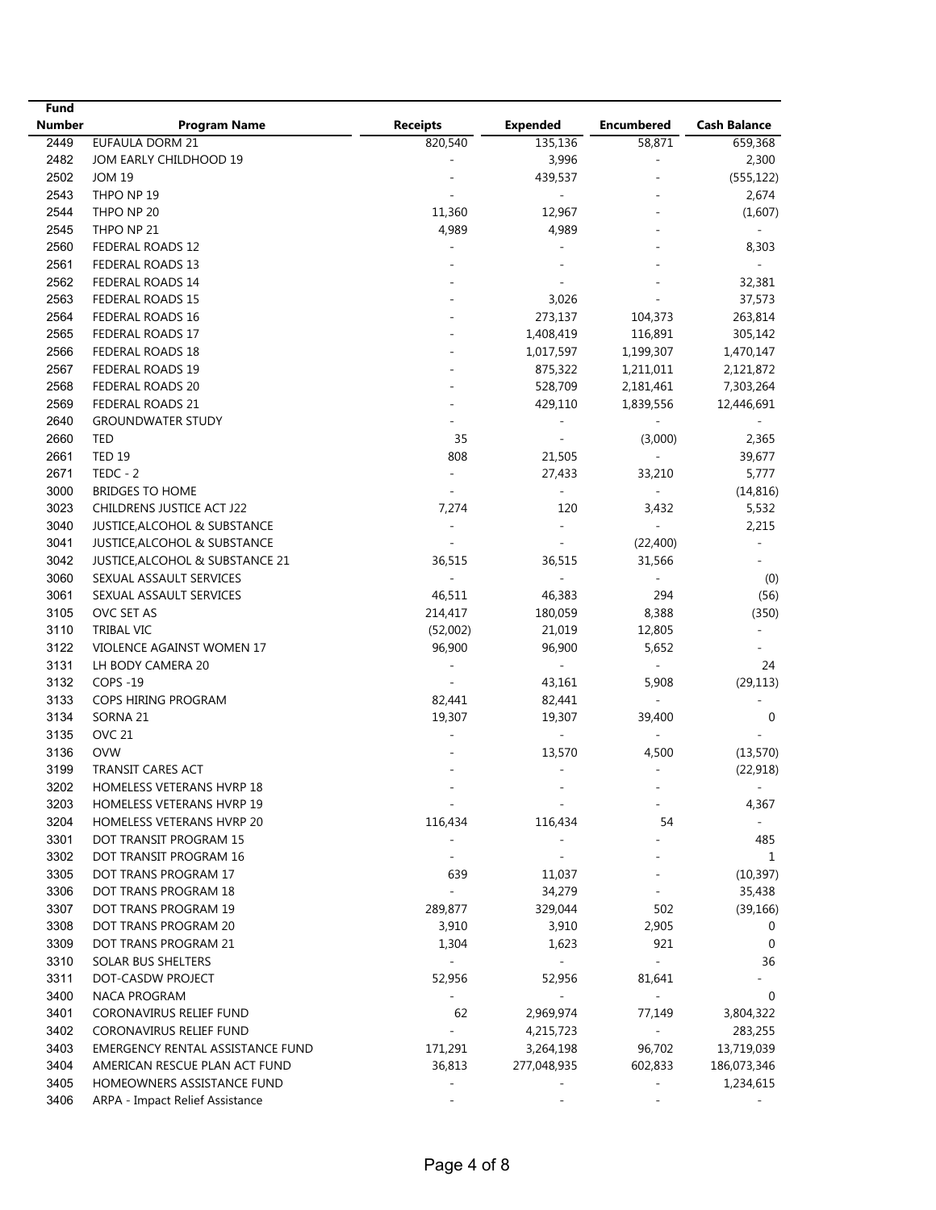| Fund          |                                            |                                     |                          |                             |                     |
|---------------|--------------------------------------------|-------------------------------------|--------------------------|-----------------------------|---------------------|
| <b>Number</b> | <b>Program Name</b>                        | <b>Receipts</b>                     | <b>Expended</b>          | <b>Encumbered</b>           | <b>Cash Balance</b> |
| 2449          | <b>EUFAULA DORM 21</b>                     | 820,540                             | 135,136                  | 58,871                      | 659,368             |
| 2482          | JOM EARLY CHILDHOOD 19                     |                                     | 3,996                    |                             | 2,300               |
| 2502          | <b>JOM 19</b>                              |                                     | 439,537                  |                             | (555, 122)          |
| 2543          | THPO NP 19                                 |                                     | $\overline{\phantom{a}}$ |                             | 2,674               |
| 2544          | THPO NP 20                                 | 11,360                              | 12,967                   |                             | (1,607)             |
| 2545          | THPO NP 21                                 | 4,989                               | 4,989                    |                             |                     |
| 2560          | FEDERAL ROADS 12                           |                                     | ÷,                       |                             | 8,303               |
| 2561          | FEDERAL ROADS 13                           |                                     |                          |                             |                     |
| 2562          | FEDERAL ROADS 14                           |                                     |                          |                             | 32,381              |
| 2563          | FEDERAL ROADS 15                           |                                     | 3,026                    |                             | 37,573              |
| 2564          | FEDERAL ROADS 16                           |                                     | 273,137                  | 104,373                     | 263,814             |
| 2565          | FEDERAL ROADS 17                           |                                     | 1,408,419                | 116,891                     | 305,142             |
| 2566          | FEDERAL ROADS 18                           |                                     | 1,017,597                | 1,199,307                   | 1,470,147           |
| 2567          | FEDERAL ROADS 19                           |                                     | 875,322                  | 1,211,011                   | 2,121,872           |
| 2568          | FEDERAL ROADS 20                           |                                     | 528,709                  | 2,181,461                   | 7,303,264           |
| 2569          | FEDERAL ROADS 21                           |                                     | 429,110                  | 1,839,556                   | 12,446,691          |
| 2640          | <b>GROUNDWATER STUDY</b>                   |                                     |                          |                             |                     |
|               |                                            |                                     | $\overline{\phantom{a}}$ | $\overline{\phantom{a}}$    |                     |
| 2660          | TED                                        | 35                                  | $\overline{\phantom{a}}$ | (3,000)                     | 2,365               |
| 2661          | <b>TED 19</b>                              | 808                                 | 21,505                   | $\equiv$                    | 39,677              |
| 2671          | $TEDC - 2$                                 | $\overline{\phantom{a}}$            | 27,433                   | 33,210                      | 5,777               |
| 3000          | <b>BRIDGES TO HOME</b>                     | $\sim$                              | $\omega$                 | $\sim$                      | (14, 816)           |
| 3023          | CHILDRENS JUSTICE ACT J22                  | 7,274                               | 120                      | 3,432                       | 5,532               |
| 3040          | <b>JUSTICE, ALCOHOL &amp; SUBSTANCE</b>    |                                     | $\overline{\phantom{a}}$ | $\sim$                      | 2,215               |
| 3041          | <b>JUSTICE, ALCOHOL &amp; SUBSTANCE</b>    |                                     | $\equiv$                 | (22, 400)                   |                     |
| 3042          | <b>JUSTICE, ALCOHOL &amp; SUBSTANCE 21</b> | 36,515                              | 36,515                   | 31,566                      |                     |
| 3060          | SEXUAL ASSAULT SERVICES                    | $\mathbf{r}$                        | ÷,                       | ÷.                          | (0)                 |
| 3061          | SEXUAL ASSAULT SERVICES                    | 46,511                              | 46,383                   | 294                         | (56)                |
| 3105          | OVC SET AS                                 | 214,417                             | 180,059                  | 8,388                       | (350)               |
| 3110          | TRIBAL VIC                                 | (52,002)                            | 21,019                   | 12,805                      |                     |
| 3122          | VIOLENCE AGAINST WOMEN 17                  | 96,900                              | 96,900                   | 5,652                       |                     |
| 3131          | LH BODY CAMERA 20                          |                                     | $\bar{a}$                | $\sim$                      | 24                  |
| 3132          | COPS-19                                    | ÷.                                  | 43,161                   | 5,908                       | (29, 113)           |
| 3133          | <b>COPS HIRING PROGRAM</b>                 | 82,441                              | 82,441                   | $\equiv$                    |                     |
| 3134          | SORNA 21                                   | 19,307                              | 19,307                   | 39,400                      | $\mathbf 0$         |
| 3135          | <b>OVC 21</b>                              |                                     | $\Box$                   | $\overline{\phantom{a}}$    |                     |
| 3136          | <b>OVW</b>                                 |                                     | 13,570                   | 4,500                       | (13,570)            |
| 3199          | TRANSIT CARES ACT                          |                                     | $\overline{\phantom{a}}$ | $\overline{\phantom{a}}$    | (22, 918)           |
| 3202          | <b>HOMELESS VETERANS HVRP 18</b>           |                                     |                          |                             |                     |
| 3203          | HOMELESS VETERANS HVRP 19                  |                                     |                          |                             | 4,367               |
| 3204          |                                            | $\overline{\phantom{a}}$<br>116,434 |                          | 54                          |                     |
|               | <b>HOMELESS VETERANS HVRP 20</b>           |                                     | 116,434                  |                             |                     |
| 3301          | DOT TRANSIT PROGRAM 15                     |                                     |                          |                             | 485                 |
| 3302          | DOT TRANSIT PROGRAM 16                     |                                     |                          |                             | 1                   |
| 3305          | DOT TRANS PROGRAM 17                       | 639                                 | 11,037                   |                             | (10, 397)           |
| 3306          | DOT TRANS PROGRAM 18                       | $\mathcal{L}_{\mathcal{A}}$         | 34,279                   |                             | 35,438              |
| 3307          | DOT TRANS PROGRAM 19                       | 289,877                             | 329,044                  | 502                         | (39, 166)           |
| 3308          | DOT TRANS PROGRAM 20                       | 3,910                               | 3,910                    | 2,905                       | 0                   |
| 3309          | DOT TRANS PROGRAM 21                       | 1,304                               | 1,623                    | 921                         | $\mathbf 0$         |
| 3310          | SOLAR BUS SHELTERS                         |                                     | $\overline{\phantom{a}}$ | $\mathcal{L}_{\mathcal{A}}$ | 36                  |
| 3311          | DOT-CASDW PROJECT                          | 52,956                              | 52,956                   | 81,641                      |                     |
| 3400          | NACA PROGRAM                               |                                     |                          | $\sim$                      | 0                   |
| 3401          | CORONAVIRUS RELIEF FUND                    | 62                                  | 2,969,974                | 77,149                      | 3,804,322           |
| 3402          | CORONAVIRUS RELIEF FUND                    | $\mathcal{L}^{\pm}$                 | 4,215,723                | $\sim$                      | 283,255             |
| 3403          | EMERGENCY RENTAL ASSISTANCE FUND           | 171,291                             | 3,264,198                | 96,702                      | 13,719,039          |
| 3404          | AMERICAN RESCUE PLAN ACT FUND              | 36,813                              | 277,048,935              | 602,833                     | 186,073,346         |
| 3405          | HOMEOWNERS ASSISTANCE FUND                 |                                     |                          |                             | 1,234,615           |
| 3406          | ARPA - Impact Relief Assistance            |                                     |                          |                             |                     |
|               |                                            |                                     |                          |                             |                     |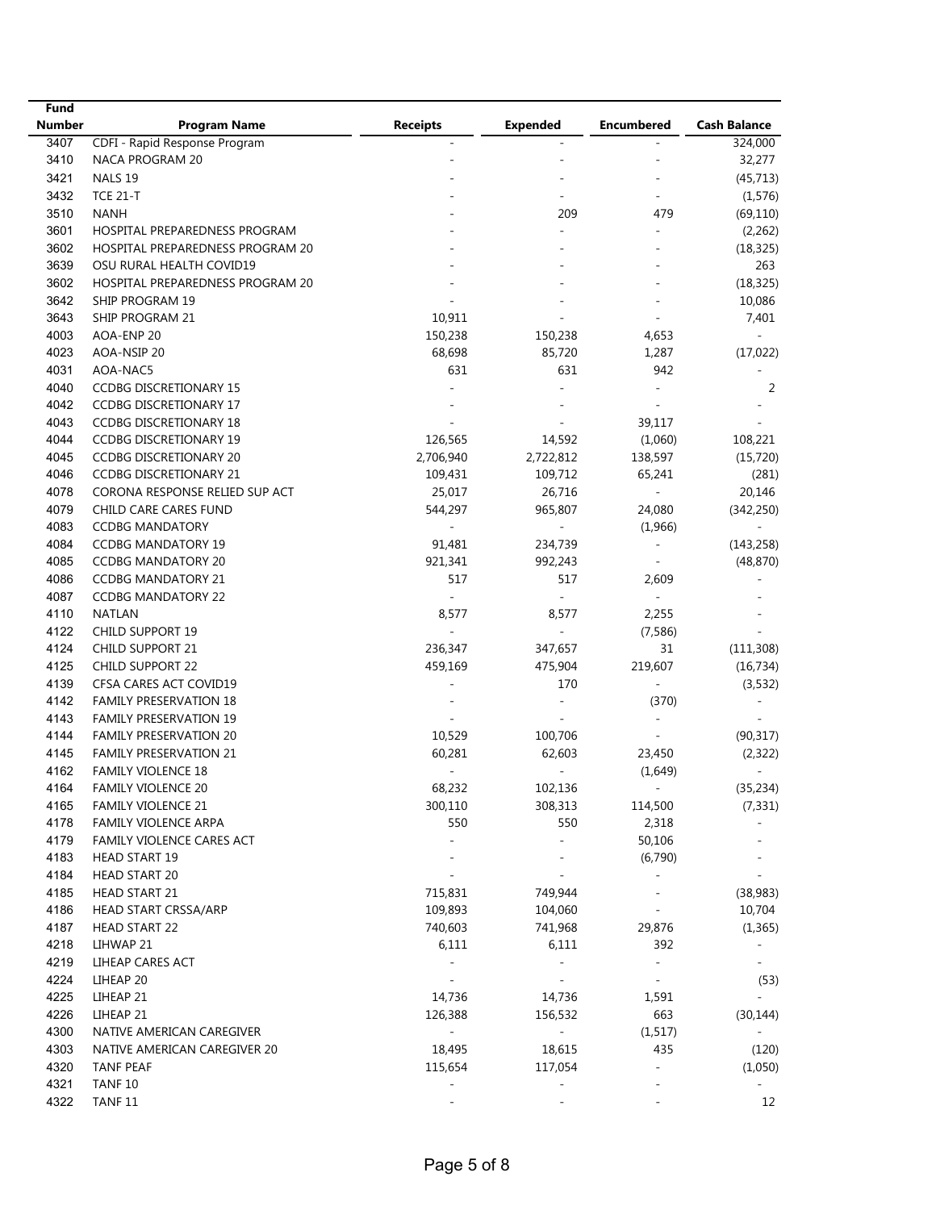| Fund          |                                  |                          |                          |                          |                          |
|---------------|----------------------------------|--------------------------|--------------------------|--------------------------|--------------------------|
| <b>Number</b> | <b>Program Name</b>              | <b>Receipts</b>          | <b>Expended</b>          | <b>Encumbered</b>        | <b>Cash Balance</b>      |
| 3407          | CDFI - Rapid Response Program    |                          |                          |                          | 324,000                  |
| 3410          | NACA PROGRAM 20                  |                          | $\sim$                   |                          | 32,277                   |
| 3421          | NALS <sub>19</sub>               |                          |                          |                          | (45, 713)                |
| 3432          | <b>TCE 21-T</b>                  |                          |                          |                          | (1, 576)                 |
| 3510          | <b>NANH</b>                      |                          | 209                      | 479                      | (69, 110)                |
| 3601          | HOSPITAL PREPAREDNESS PROGRAM    |                          | L,                       |                          | (2, 262)                 |
| 3602          | HOSPITAL PREPAREDNESS PROGRAM 20 |                          |                          |                          | (18, 325)                |
| 3639          |                                  |                          |                          |                          | 263                      |
|               | OSU RURAL HEALTH COVID19         |                          |                          |                          |                          |
| 3602          | HOSPITAL PREPAREDNESS PROGRAM 20 |                          |                          |                          | (18, 325)                |
| 3642          | <b>SHIP PROGRAM 19</b>           |                          |                          |                          | 10,086                   |
| 3643          | SHIP PROGRAM 21                  | 10,911                   |                          |                          | 7,401                    |
| 4003          | AOA-ENP 20                       | 150,238                  | 150,238                  | 4,653                    |                          |
| 4023          | AOA-NSIP 20                      | 68,698                   | 85,720                   | 1,287                    | (17, 022)                |
| 4031          | AOA-NAC5                         | 631                      | 631                      | 942                      |                          |
| 4040          | <b>CCDBG DISCRETIONARY 15</b>    |                          | ÷,                       | $\overline{\phantom{a}}$ | $\overline{2}$           |
| 4042          | <b>CCDBG DISCRETIONARY 17</b>    |                          |                          |                          |                          |
| 4043          | <b>CCDBG DISCRETIONARY 18</b>    |                          |                          | 39,117                   |                          |
| 4044          | <b>CCDBG DISCRETIONARY 19</b>    | 126,565                  | 14,592                   | (1,060)                  | 108,221                  |
| 4045          | <b>CCDBG DISCRETIONARY 20</b>    | 2,706,940                | 2,722,812                | 138,597                  | (15, 720)                |
| 4046          | <b>CCDBG DISCRETIONARY 21</b>    | 109,431                  | 109,712                  | 65,241                   | (281)                    |
| 4078          | CORONA RESPONSE RELIED SUP ACT   | 25,017                   | 26,716                   | $\overline{\phantom{a}}$ | 20,146                   |
| 4079          | CHILD CARE CARES FUND            | 544,297                  | 965,807                  | 24,080                   |                          |
|               |                                  |                          |                          |                          | (342, 250)               |
| 4083          | <b>CCDBG MANDATORY</b>           | $\overline{\phantom{a}}$ | $\frac{1}{2}$            | (1,966)                  | $\overline{\phantom{a}}$ |
| 4084          | <b>CCDBG MANDATORY 19</b>        | 91,481                   | 234,739                  | $\bar{a}$                | (143, 258)               |
| 4085          | <b>CCDBG MANDATORY 20</b>        | 921,341                  | 992,243                  |                          | (48, 870)                |
| 4086          | <b>CCDBG MANDATORY 21</b>        | 517                      | 517                      | 2,609                    |                          |
| 4087          | <b>CCDBG MANDATORY 22</b>        | $\overline{\phantom{a}}$ | $\overline{a}$           | ÷.                       |                          |
| 4110          | <b>NATLAN</b>                    | 8,577                    | 8,577                    | 2,255                    |                          |
| 4122          | <b>CHILD SUPPORT 19</b>          |                          | $\overline{\phantom{a}}$ | (7, 586)                 |                          |
| 4124          | CHILD SUPPORT 21                 | 236,347                  | 347,657                  | 31                       | (111, 308)               |
| 4125          | <b>CHILD SUPPORT 22</b>          | 459,169                  | 475,904                  | 219,607                  | (16, 734)                |
| 4139          | CFSA CARES ACT COVID19           |                          | 170                      |                          | (3, 532)                 |
| 4142          | <b>FAMILY PRESERVATION 18</b>    |                          | $\frac{1}{2}$            | (370)                    |                          |
| 4143          | <b>FAMILY PRESERVATION 19</b>    |                          |                          | ÷                        |                          |
| 4144          | <b>FAMILY PRESERVATION 20</b>    | 10,529                   | 100,706                  |                          | (90, 317)                |
| 4145          | <b>FAMILY PRESERVATION 21</b>    | 60,281                   | 62,603                   | 23,450                   | (2, 322)                 |
| 4162          | <b>FAMILY VIOLENCE 18</b>        |                          | L,                       | (1,649)                  |                          |
|               |                                  |                          |                          |                          |                          |
| 4164          | <b>FAMILY VIOLENCE 20</b>        | 68,232                   | 102,136                  |                          | (35, 234)                |
| 4165          | <b>FAMILY VIOLENCE 21</b>        | 300,110                  | 308,313                  | 114,500                  | (7, 331)                 |
| 4178          | FAMILY VIOLENCE ARPA             | 550                      | 550                      | 2,318                    |                          |
| 4179          | FAMILY VIOLENCE CARES ACT        |                          | $\overline{\phantom{a}}$ | 50,106                   |                          |
| 4183          | <b>HEAD START 19</b>             |                          |                          | (6,790)                  |                          |
| 4184          | <b>HEAD START 20</b>             |                          |                          | $\overline{\phantom{a}}$ |                          |
| 4185          | <b>HEAD START 21</b>             | 715,831                  | 749,944                  |                          | (38, 983)                |
| 4186          | HEAD START CRSSA/ARP             | 109,893                  | 104,060                  |                          | 10,704                   |
| 4187          | <b>HEAD START 22</b>             | 740,603                  | 741,968                  | 29,876                   | (1, 365)                 |
| 4218          | LIHWAP 21                        | 6,111                    | 6,111                    | 392                      | $\sim$                   |
| 4219          | LIHEAP CARES ACT                 | $\overline{\phantom{a}}$ | $\overline{\phantom{a}}$ | $\overline{\phantom{a}}$ |                          |
| 4224          | LIHEAP 20                        |                          | $\overline{\phantom{a}}$ | $\sim$                   | (53)                     |
| 4225          | LIHEAP 21                        | 14,736                   | 14,736                   | 1,591                    | $\sim$ 10 $\pm$          |
| 4226          | LIHEAP 21                        | 126,388                  | 156,532                  | 663                      | (30, 144)                |
| 4300          | NATIVE AMERICAN CAREGIVER        | $\sim$                   | $\sim 10$                | (1, 517)                 | $\sim$ 10 $\pm$          |
|               |                                  |                          |                          |                          |                          |
| 4303          | NATIVE AMERICAN CAREGIVER 20     | 18,495                   | 18,615                   | 435                      | (120)                    |
| 4320          | <b>TANF PEAF</b>                 | 115,654                  | 117,054                  |                          | (1,050)                  |
| 4321          | TANF <sub>10</sub>               |                          |                          |                          |                          |
| 4322          | TANF <sub>11</sub>               |                          |                          |                          | 12                       |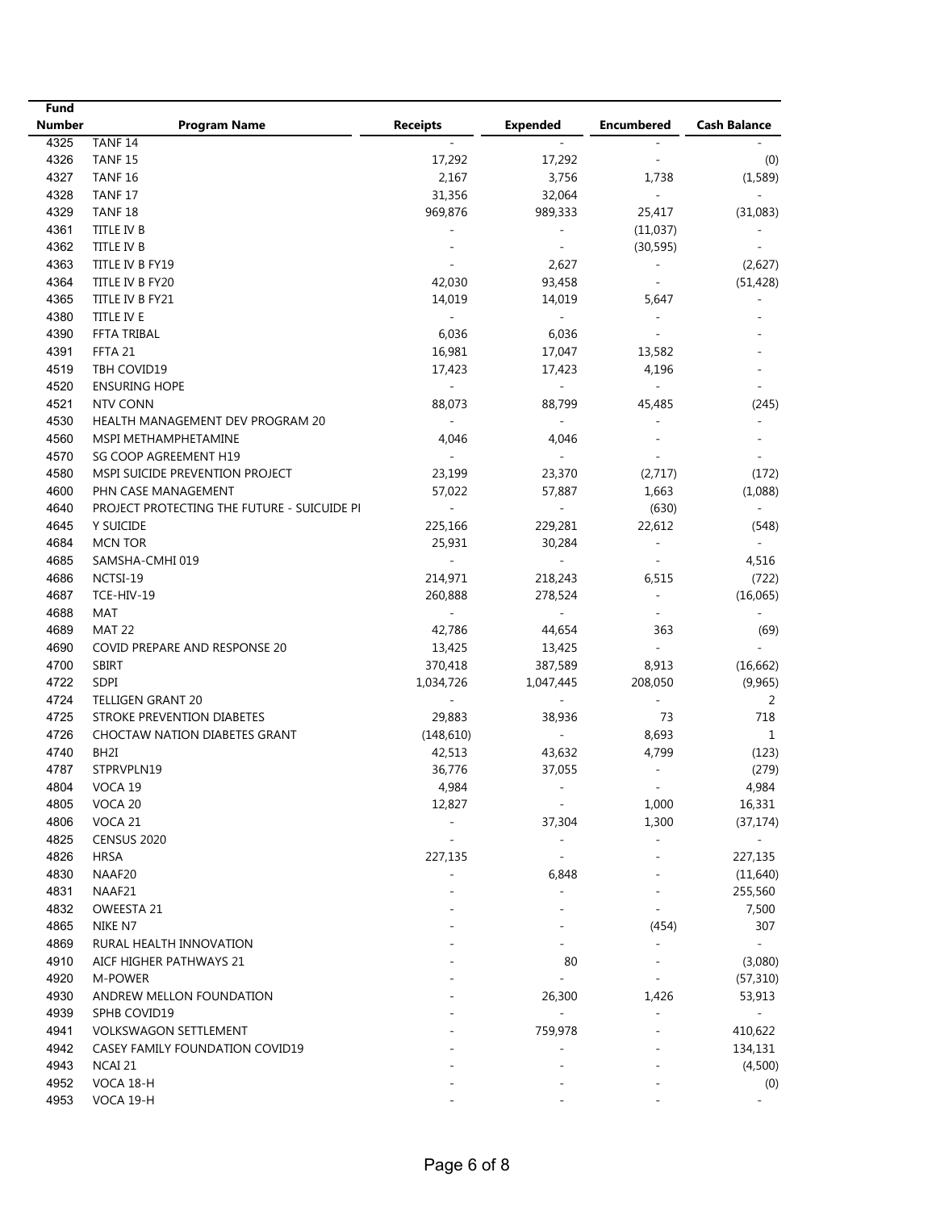| Fund          |                                             |                             |                          |                          |                     |
|---------------|---------------------------------------------|-----------------------------|--------------------------|--------------------------|---------------------|
| <b>Number</b> | <b>Program Name</b>                         | <b>Receipts</b>             | <b>Expended</b>          | Encumbered               | <b>Cash Balance</b> |
| 4325          | TANF <sub>14</sub>                          |                             |                          |                          |                     |
| 4326          | TANF <sub>15</sub>                          | 17,292                      | 17,292                   |                          | (0)                 |
| 4327          | TANF <sub>16</sub>                          | 2,167                       | 3,756                    | 1,738                    | (1, 589)            |
| 4328          | TANF <sub>17</sub>                          | 31,356                      | 32,064                   | $\sim$                   | $\sim$              |
| 4329          | TANF <sub>18</sub>                          | 969,876                     | 989,333                  | 25,417                   | (31,083)            |
| 4361          | TITLE IV B                                  |                             |                          | (11,037)                 |                     |
| 4362          | TITLE IV B                                  |                             | $\overline{\phantom{a}}$ | (30, 595)                |                     |
| 4363          | TITLE IV B FY19                             |                             | 2,627                    | $\overline{\phantom{a}}$ | (2,627)             |
| 4364          | TITLE IV B FY20                             | 42,030                      | 93,458                   | $\overline{\phantom{a}}$ | (51, 428)           |
| 4365          | TITLE IV B FY21                             | 14,019                      | 14,019                   | 5,647                    |                     |
| 4380          |                                             |                             |                          |                          |                     |
|               | TITLE IV E                                  |                             |                          |                          |                     |
| 4390          | FFTA TRIBAL                                 | 6,036                       | 6,036                    |                          |                     |
| 4391          | FFTA 21                                     | 16,981                      | 17,047                   | 13,582                   |                     |
| 4519          | TBH COVID19                                 | 17,423                      | 17,423                   | 4,196                    |                     |
| 4520          | <b>ENSURING HOPE</b>                        | $\sim$                      | $\overline{\phantom{a}}$ | $\overline{\phantom{a}}$ |                     |
| 4521          | <b>NTV CONN</b>                             | 88,073                      | 88,799                   | 45,485                   | (245)               |
| 4530          | HEALTH MANAGEMENT DEV PROGRAM 20            | $\mathcal{L}_{\mathcal{A}}$ | $\overline{\phantom{a}}$ |                          |                     |
| 4560          | MSPI METHAMPHETAMINE                        | 4,046                       | 4.046                    |                          |                     |
| 4570          | SG COOP AGREEMENT H19                       | $\mathbf{r}$                | $\omega$                 |                          |                     |
| 4580          | MSPI SUICIDE PREVENTION PROJECT             | 23,199                      | 23,370                   | (2,717)                  | (172)               |
| 4600          | PHN CASE MANAGEMENT                         | 57,022                      | 57,887                   | 1,663                    | (1,088)             |
| 4640          | PROJECT PROTECTING THE FUTURE - SUICUIDE PI |                             | $\frac{1}{2}$            | (630)                    | $\sim$              |
| 4645          | Y SUICIDE                                   | 225,166                     | 229,281                  | 22,612                   | (548)               |
| 4684          | <b>MCN TOR</b>                              | 25,931                      | 30,284                   | $\overline{\phantom{a}}$ | $\sim$              |
| 4685          | SAMSHA-CMHI 019                             | $\sim$                      | $\overline{\phantom{a}}$ | $\overline{\phantom{a}}$ | 4,516               |
| 4686          | NCTSI-19                                    | 214,971                     | 218,243                  | 6,515                    | (722)               |
|               |                                             |                             |                          | $\overline{\phantom{a}}$ |                     |
| 4687          | TCE-HIV-19                                  | 260,888                     | 278,524                  |                          | (16,065)            |
| 4688          | MAT                                         | $\overline{\phantom{a}}$    | $\overline{\phantom{a}}$ |                          |                     |
| 4689          | <b>MAT 22</b>                               | 42,786                      | 44,654                   | 363                      | (69)                |
| 4690          | COVID PREPARE AND RESPONSE 20               | 13,425                      | 13,425                   |                          |                     |
| 4700          | <b>SBIRT</b>                                | 370,418                     | 387,589                  | 8,913                    | (16, 662)           |
| 4722          | SDPI                                        | 1,034,726                   | 1,047,445                | 208,050                  | (9, 965)            |
| 4724          | <b>TELLIGEN GRANT 20</b>                    |                             |                          |                          | 2                   |
| 4725          | STROKE PREVENTION DIABETES                  | 29,883                      | 38,936                   | 73                       | 718                 |
| 4726          | CHOCTAW NATION DIABETES GRANT               | (148, 610)                  | $\overline{\phantom{a}}$ | 8,693                    | $\mathbf{1}$        |
| 4740          | BH <sub>2I</sub>                            | 42,513                      | 43,632                   | 4,799                    | (123)               |
| 4787          | STPRVPLN19                                  | 36,776                      | 37,055                   | ÷,                       | (279)               |
| 4804          | VOCA 19                                     | 4,984                       |                          |                          | 4,984               |
| 4805          | VOCA 20                                     | 12,827                      | $\sim$                   | 1,000                    | 16,331              |
| 4806          | VOCA 21                                     |                             | 37,304                   | 1,300                    | (37, 174)           |
| 4825          | <b>CENSUS 2020</b>                          |                             |                          |                          |                     |
| 4826          | HRSA                                        | 227,135                     |                          |                          | 227,135             |
| 4830          | NAAF20                                      |                             | 6,848                    |                          | (11,640)            |
| 4831          | NAAF21                                      |                             | $\bar{a}$                |                          | 255,560             |
| 4832          | OWEESTA 21                                  |                             |                          |                          | 7,500               |
|               |                                             |                             |                          |                          |                     |
| 4865          | NIKE N7                                     |                             |                          | (454)                    | 307                 |
| 4869          | RURAL HEALTH INNOVATION                     |                             |                          | ÷,                       | $\sim$              |
| 4910          | AICF HIGHER PATHWAYS 21                     |                             | 80                       |                          | (3,080)             |
| 4920          | M-POWER                                     |                             | $\sim$                   |                          | (57, 310)           |
| 4930          | ANDREW MELLON FOUNDATION                    |                             | 26,300                   | 1,426                    | 53,913              |
| 4939          | SPHB COVID19                                |                             |                          | $\overline{\phantom{a}}$ | $\sim$              |
| 4941          | <b>VOLKSWAGON SETTLEMENT</b>                |                             | 759,978                  |                          | 410,622             |
| 4942          | CASEY FAMILY FOUNDATION COVID19             |                             |                          |                          | 134,131             |
| 4943          | NCAI 21                                     |                             |                          |                          | (4,500)             |
| 4952          | VOCA 18-H                                   |                             |                          |                          | (0)                 |
| 4953          | VOCA 19-H                                   |                             |                          |                          |                     |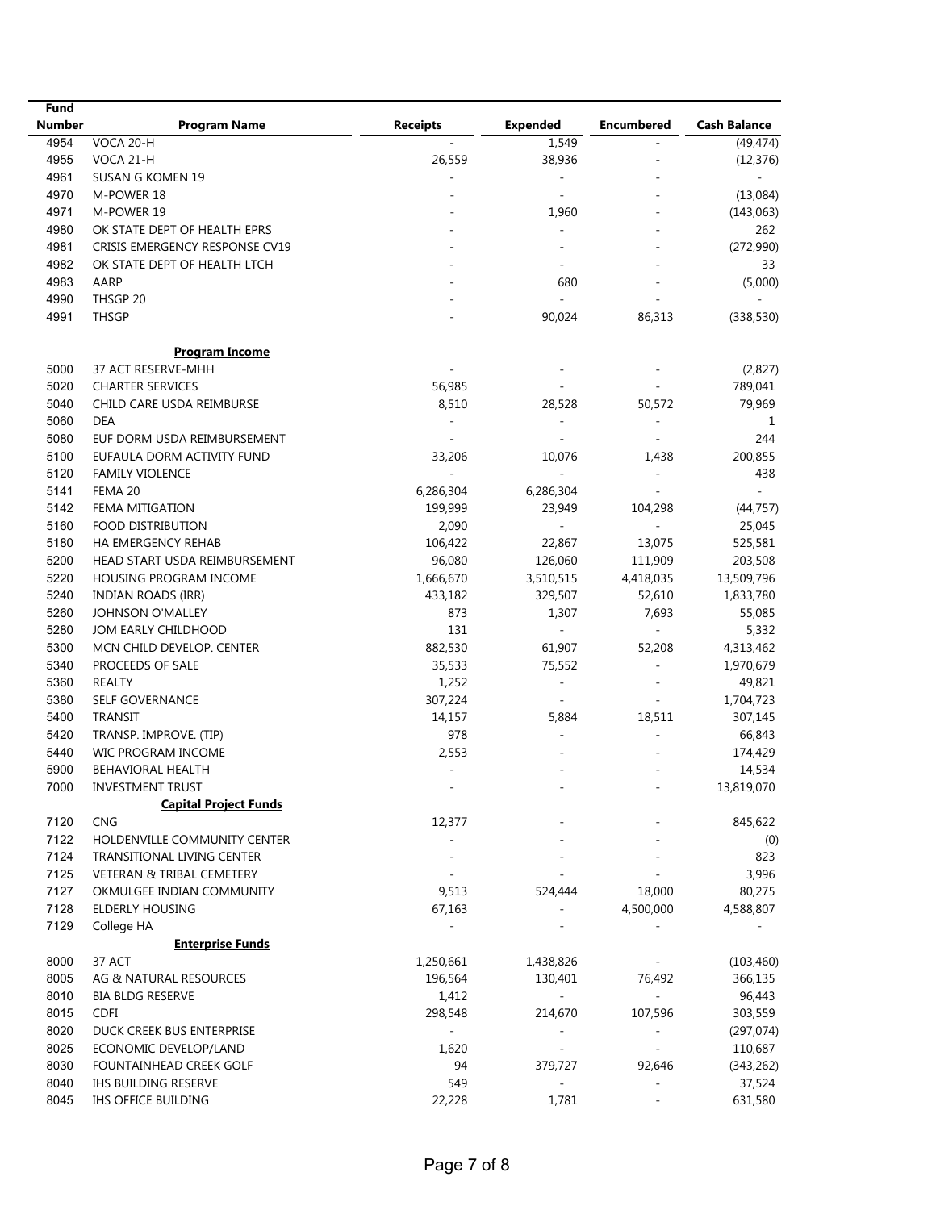| Fund   |                                   |                          |                          |                          |              |
|--------|-----------------------------------|--------------------------|--------------------------|--------------------------|--------------|
| Number | <b>Program Name</b>               | <b>Receipts</b>          | <b>Expended</b>          | <b>Encumbered</b>        | Cash Balance |
| 4954   | VOCA 20-H                         |                          | 1,549                    |                          | (49, 474)    |
| 4955   | VOCA 21-H                         | 26,559                   | 38,936                   |                          | (12, 376)    |
| 4961   | <b>SUSAN G KOMEN 19</b>           |                          | ÷,                       |                          | $\sim$       |
| 4970   | M-POWER 18                        |                          | $\overline{\phantom{a}}$ |                          | (13,084)     |
| 4971   | M-POWER 19                        |                          | 1,960                    |                          | (143,063)    |
| 4980   | OK STATE DEPT OF HEALTH EPRS      |                          | ÷,                       |                          | 262          |
| 4981   | CRISIS EMERGENCY RESPONSE CV19    |                          |                          |                          | (272,990)    |
| 4982   | OK STATE DEPT OF HEALTH LTCH      |                          |                          |                          | 33           |
| 4983   | AARP                              |                          | 680                      |                          | (5,000)      |
| 4990   | THSGP 20                          |                          | $\mathbf{r}$             |                          |              |
| 4991   | <b>THSGP</b>                      |                          | 90,024                   | 86,313                   | (338, 530)   |
|        | <b>Program Income</b>             |                          |                          |                          |              |
| 5000   | 37 ACT RESERVE-MHH                |                          |                          |                          | (2,827)      |
| 5020   | <b>CHARTER SERVICES</b>           | 56,985                   |                          |                          | 789,041      |
| 5040   | CHILD CARE USDA REIMBURSE         | 8,510                    | 28,528                   | 50,572                   | 79,969       |
| 5060   | <b>DEA</b>                        | $\overline{\phantom{a}}$ | ÷,                       | ÷                        | 1            |
| 5080   | EUF DORM USDA REIMBURSEMENT       |                          |                          |                          | 244          |
| 5100   | EUFAULA DORM ACTIVITY FUND        | 33,206                   | 10,076                   | 1,438                    | 200,855      |
| 5120   | <b>FAMILY VIOLENCE</b>            | $\overline{\phantom{a}}$ | $\overline{\phantom{a}}$ | $\overline{\phantom{a}}$ | 438          |
| 5141   | FEMA 20                           | 6,286,304                | 6,286,304                |                          |              |
| 5142   | FEMA MITIGATION                   | 199,999                  | 23,949                   | 104,298                  | (44, 757)    |
| 5160   | FOOD DISTRIBUTION                 | 2,090                    | $\sim$                   | $\sim$                   | 25,045       |
| 5180   | <b>HA EMERGENCY REHAB</b>         | 106,422                  | 22,867                   | 13,075                   | 525,581      |
| 5200   | HEAD START USDA REIMBURSEMENT     | 96,080                   | 126,060                  | 111,909                  | 203,508      |
| 5220   | <b>HOUSING PROGRAM INCOME</b>     | 1,666,670                | 3,510,515                | 4,418,035                | 13,509,796   |
| 5240   | <b>INDIAN ROADS (IRR)</b>         | 433,182                  | 329,507                  | 52,610                   | 1,833,780    |
| 5260   | <b>JOHNSON O'MALLEY</b>           | 873                      | 1,307                    | 7,693                    | 55,085       |
| 5280   | JOM EARLY CHILDHOOD               | 131                      | $\overline{\phantom{a}}$ | $\sim$                   | 5,332        |
| 5300   | MCN CHILD DEVELOP. CENTER         | 882,530                  | 61,907                   | 52,208                   | 4,313,462    |
| 5340   | PROCEEDS OF SALE                  | 35,533                   | 75,552                   | $\overline{\phantom{a}}$ | 1,970,679    |
| 5360   | <b>REALTY</b>                     | 1,252                    | ÷,                       |                          | 49,821       |
| 5380   | SELF GOVERNANCE                   | 307,224                  |                          |                          | 1,704,723    |
| 5400   | <b>TRANSIT</b>                    | 14,157                   | 5,884                    | 18,511                   | 307,145      |
| 5420   | TRANSP. IMPROVE. (TIP)            | 978                      | J.                       |                          | 66,843       |
| 5440   | WIC PROGRAM INCOME                | 2,553                    |                          |                          | 174,429      |
| 5900   | BEHAVIORAL HEALTH                 | $\overline{\phantom{m}}$ |                          |                          | 14,534       |
| 7000   | <b>INVESTMENT TRUST</b>           |                          |                          |                          | 13,819,070   |
|        | <b>Capital Project Funds</b>      |                          |                          |                          |              |
| 7120   | <b>CNG</b>                        | 12,377                   |                          |                          | 845,622      |
| 7122   | HOLDENVILLE COMMUNITY CENTER      |                          |                          |                          | (0)          |
| 7124   | <b>TRANSITIONAL LIVING CENTER</b> |                          |                          |                          | 823          |
| 7125   | VETERAN & TRIBAL CEMETERY         |                          |                          |                          | 3,996        |
| 7127   | OKMULGEE INDIAN COMMUNITY         | 9,513                    | 524,444                  | 18,000                   | 80,275       |
| 7128   | <b>ELDERLY HOUSING</b>            | 67,163                   | $\overline{\phantom{a}}$ | 4,500,000                | 4,588,807    |
| 7129   | College HA                        | $\overline{\phantom{a}}$ |                          |                          |              |
|        | <b>Enterprise Funds</b>           |                          |                          |                          |              |
| 8000   | 37 ACT                            | 1,250,661                | 1,438,826                |                          | (103, 460)   |
| 8005   | AG & NATURAL RESOURCES            | 196,564                  | 130,401                  | 76,492                   | 366,135      |
| 8010   | <b>BIA BLDG RESERVE</b>           | 1,412                    | $\overline{\phantom{a}}$ | $\sim$                   | 96,443       |
| 8015   | <b>CDFI</b>                       | 298,548                  | 214,670                  | 107,596                  | 303,559      |
| 8020   | DUCK CREEK BUS ENTERPRISE         | $\sim$                   | $\overline{\phantom{a}}$ | $\sim$                   | (297, 074)   |
| 8025   | ECONOMIC DEVELOP/LAND             | 1,620                    | $\overline{\phantom{a}}$ | $\sim$                   | 110,687      |
| 8030   | FOUNTAINHEAD CREEK GOLF           | 94                       | 379,727                  | 92,646                   | (343, 262)   |
| 8040   | IHS BUILDING RESERVE              | 549                      | $\overline{\phantom{a}}$ | $\overline{\phantom{a}}$ | 37,524       |
| 8045   | IHS OFFICE BUILDING               | 22,228                   | 1,781                    |                          | 631,580      |